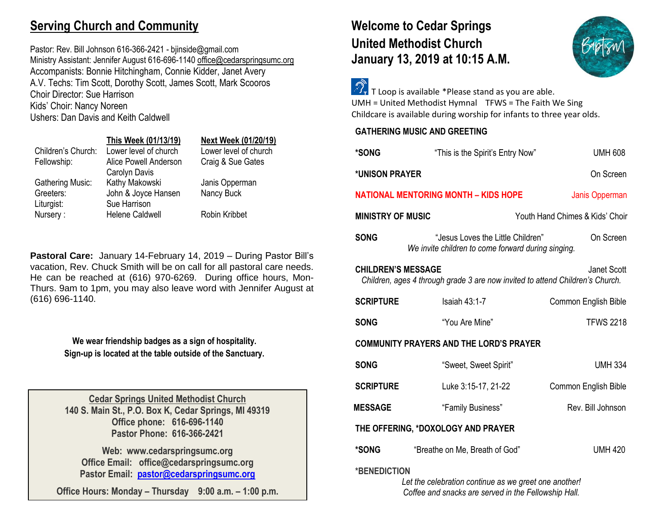## **Serving Church and Community**

Pastor: Rev. Bill Johnson 616-366-2421 - bjinside@gmail.com Ministry Assistant: Jennifer August 616-696-1140 [office@cedarspringsumc.org](mailto:office@cedarspringsumc.org) Accompanists: Bonnie Hitchingham, Connie Kidder, Janet Avery A.V. Techs: Tim Scott, Dorothy Scott, James Scott, Mark Scooros Choir Director: Sue Harrison Kids' Choir: Nancy Noreen Ushers: Dan Davis and Keith Caldwell

|                         | This Week (01/13/19)   | Next Week (01/20/19)  |
|-------------------------|------------------------|-----------------------|
| Children's Church:      | Lower level of church  | Lower level of church |
| Fellowship:             | Alice Powell Anderson  | Craig & Sue Gates     |
|                         | Carolyn Davis          |                       |
| <b>Gathering Music:</b> | Kathy Makowski         | Janis Opperman        |
| Greeters:               | John & Joyce Hansen    | Nancy Buck            |
| Liturgist:              | Sue Harrison           |                       |
| Nursery:                | <b>Helene Caldwell</b> | Robin Kribbet         |

**Pastoral Care:** January 14-February 14, 2019 – During Pastor Bill's vacation, Rev. Chuck Smith will be on call for all pastoral care needs. He can be reached at (616) 970-6269. During office hours, Mon-Thurs. 9am to 1pm, you may also leave word with Jennifer August at (616) 696-1140.

> **We wear friendship badges as a sign of hospitality. Sign-up is located at the table outside of the Sanctuary.**

**Cedar Springs United Methodist Church 140 S. Main St., P.O. Box K, Cedar Springs, MI 49319 Office phone: 616-696-1140 Pastor Phone: 616-366-2421**

**Web: www.cedarspringsumc.org Office Email: office@cedarspringsumc.org Pastor Email: [pastor@cedarspringsumc.org](mailto:pastor@cedarspringsumc.org)**

**Office Hours: Monday – Thursday 9:00 a.m. – 1:00 p.m.**

# **Welcome to Cedar Springs United Methodist Church January 13, 2019 at 10:15 A.M.**



 $\widehat{\mathcal{O}}_{\mathbf{r}}$  T Loop is available \*Please stand as you are able. UMH = United Methodist Hymnal TFWS = The Faith We Sing Childcare is available during worship for infants to three year olds.

| <b>GATHERING MUSIC AND GREETING</b> |  |  |  |
|-------------------------------------|--|--|--|
|-------------------------------------|--|--|--|

| *SONG                                                                                                                     | "This is the Spirit's Entry Now"                                                        | <b>UMH 608</b>                  |
|---------------------------------------------------------------------------------------------------------------------------|-----------------------------------------------------------------------------------------|---------------------------------|
| *UNISON PRAYER                                                                                                            |                                                                                         | On Screen                       |
| <b>NATIONAL MENTORING MONTH - KIDS HOPE</b>                                                                               |                                                                                         | Janis Opperman                  |
| <b>MINISTRY OF MUSIC</b>                                                                                                  |                                                                                         | Youth Hand Chimes & Kids' Choir |
| <b>SONG</b>                                                                                                               | "Jesus Loves the Little Children"<br>We invite children to come forward during singing. | On Screen                       |
| <b>CHILDREN'S MESSAGE</b><br>Janet Scott<br>Children, ages 4 through grade 3 are now invited to attend Children's Church. |                                                                                         |                                 |
| <b>SCRIPTURE</b>                                                                                                          | <b>Isaiah 43:1-7</b>                                                                    | Common English Bible            |
| <b>SONG</b>                                                                                                               | "You Are Mine"                                                                          | <b>TFWS 2218</b>                |
| <b>COMMUNITY PRAYERS AND THE LORD'S PRAYER</b>                                                                            |                                                                                         |                                 |
| <b>SONG</b>                                                                                                               | "Sweet, Sweet Spirit"                                                                   | <b>UMH 334</b>                  |
| <b>SCRIPTURE</b>                                                                                                          | Luke 3:15-17, 21-22                                                                     | Common English Bible            |
| <b>MESSAGE</b>                                                                                                            | "Family Business"                                                                       | Rev. Bill Johnson               |
| THE OFFERING, *DOXOLOGY AND PRAYER                                                                                        |                                                                                         |                                 |
| *SONG                                                                                                                     | "Breathe on Me, Breath of God"                                                          | <b>UMH 420</b>                  |
| *BENEDICTION<br>Let the celebration continue as we greet one another!                                                     |                                                                                         |                                 |

*Coffee and snacks are served in the Fellowship Hall.*